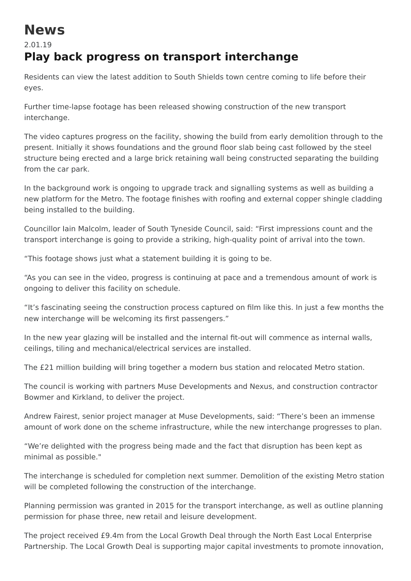## **News**

## 2.01.19 **Play back progress on transport interchange**

Residents can view the latest addition to South Shields town centre coming to life before their eyes.

Further time-lapse footage has been released showing construction of the new transport interchange.

The video captures progress on the facility, showing the build from early demolition through to the present. Initially it shows foundations and the ground floor slab being cast followed by the steel structure being erected and a large brick retaining wall being constructed separating the building from the car park.

In the background work is ongoing to upgrade track and signalling systems as well as building a new platform for the Metro. The footage finishes with roofing and external copper shingle cladding being installed to the building.

Councillor Iain Malcolm, leader of South Tyneside Council, said: "First impressions count and the transport interchange is going to provide a striking, high-quality point of arrival into the town.

"This footage shows just what a statement building it is going to be.

"As you can see in the video, progress is continuing at pace and a tremendous amount of work is ongoing to deliver this facility on schedule.

"It's fascinating seeing the construction process captured on film like this. In just a few months the new interchange will be welcoming its first passengers."

In the new year glazing will be installed and the internal fit-out will commence as internal walls, ceilings, tiling and mechanical/electrical services are installed.

The £21 million building will bring together a modern bus station and relocated Metro station.

The council is working with partners Muse Developments and Nexus, and construction contractor Bowmer and Kirkland, to deliver the project.

Andrew Fairest, senior project manager at Muse Developments, said: "There's been an immense amount of work done on the scheme infrastructure, while the new interchange progresses to plan.

"We're delighted with the progress being made and the fact that disruption has been kept as minimal as possible."

The interchange is scheduled for completion next summer. Demolition of the existing Metro station will be completed following the construction of the interchange.

Planning permission was granted in 2015 for the transport interchange, as well as outline planning permission for phase three, new retail and leisure development.

The project received £9.4m from the Local Growth Deal through the North East Local Enterprise Partnership. The Local Growth Deal is supporting major capital investments to promote innovation,